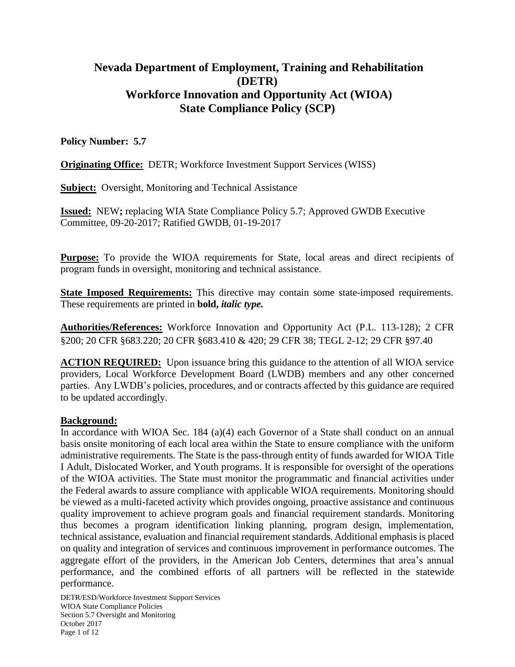# **Nevada Department of Employment, Training and Rehabilitation (DETR) Workforce Innovation and Opportunity Act (WIOA) State Compliance Policy (SCP)**

### **Policy Number: 5.7**

**Originating Office:** DETR; Workforce Investment Support Services (WISS)

**Subject:** Oversight, Monitoring and Technical Assistance

**Issued:** NEW**;** replacing WIA State Compliance Policy 5.7; Approved GWDB Executive Committee, 09-20-2017; Ratified GWDB, 01-19-2017

**Purpose:** To provide the WIOA requirements for State, local areas and direct recipients of program funds in oversight, monitoring and technical assistance.

**State Imposed Requirements:** This directive may contain some state-imposed requirements. These requirements are printed in **bold,** *italic type.*

**Authorities/References:** Workforce Innovation and Opportunity Act (P.L. 113-128); 2 CFR §200; 20 CFR §683.220; 20 CFR §683.410 & 420; 29 CFR 38; TEGL 2-12; 29 CFR §97.40

**ACTION REQUIRED:** Upon issuance bring this guidance to the attention of all WIOA service providers, Local Workforce Development Board (LWDB) members and any other concerned parties. Any LWDB's policies, procedures, and or contracts affected by this guidance are required to be updated accordingly.

### **Background:**

In accordance with WIOA Sec. 184 (a)(4) each Governor of a State shall conduct on an annual basis onsite monitoring of each local area within the State to ensure compliance with the uniform administrative requirements. The State is the pass-through entity of funds awarded for WIOA Title I Adult, Dislocated Worker, and Youth programs. It is responsible for oversight of the operations of the WIOA activities. The State must monitor the programmatic and financial activities under the Federal awards to assure compliance with applicable WIOA requirements. Monitoring should be viewed as a multi-faceted activity which provides ongoing, proactive assistance and continuous quality improvement to achieve program goals and financial requirement standards. Monitoring thus becomes a program identification linking planning, program design, implementation, technical assistance, evaluation and financial requirement standards. Additional emphasis is placed on quality and integration of services and continuous improvement in performance outcomes. The aggregate effort of the providers, in the American Job Centers, determines that area's annual performance, and the combined efforts of all partners will be reflected in the statewide performance.

DETR/ESD/Workforce Investment Support Services WIOA State Compliance Policies Section 5.7 Oversight and Monitoring October 2017 Page 1 of 12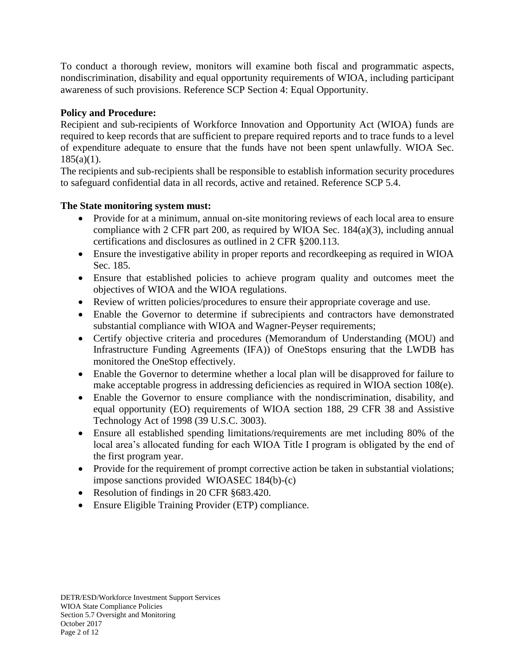To conduct a thorough review, monitors will examine both fiscal and programmatic aspects, nondiscrimination, disability and equal opportunity requirements of WIOA, including participant awareness of such provisions. Reference SCP Section 4: Equal Opportunity.

# **Policy and Procedure:**

Recipient and sub-recipients of Workforce Innovation and Opportunity Act (WIOA) funds are required to keep records that are sufficient to prepare required reports and to trace funds to a level of expenditure adequate to ensure that the funds have not been spent unlawfully. WIOA Sec.  $185(a)(1)$ .

The recipients and sub-recipients shall be responsible to establish information security procedures to safeguard confidential data in all records, active and retained. Reference SCP 5.4.

# **The State monitoring system must:**

- Provide for at a minimum, annual on-site monitoring reviews of each local area to ensure compliance with 2 CFR part 200, as required by WIOA Sec. 184(a)(3), including annual certifications and disclosures as outlined in 2 CFR §200.113.
- Ensure the investigative ability in proper reports and recordkeeping as required in WIOA Sec. 185.
- Ensure that established policies to achieve program quality and outcomes meet the objectives of WIOA and the WIOA regulations.
- Review of written policies/procedures to ensure their appropriate coverage and use.
- Enable the Governor to determine if subrecipients and contractors have demonstrated substantial compliance with WIOA and Wagner-Peyser requirements;
- Certify objective criteria and procedures (Memorandum of Understanding (MOU) and Infrastructure Funding Agreements (IFA)) of OneStops ensuring that the LWDB has monitored the OneStop effectively.
- Enable the Governor to determine whether a local plan will be disapproved for failure to make acceptable progress in addressing deficiencies as required in WIOA section 108(e).
- Enable the Governor to ensure compliance with the nondiscrimination, disability, and equal opportunity (EO) requirements of WIOA section 188, 29 CFR 38 and Assistive Technology Act of 1998 (39 U.S.C. 3003).
- Ensure all established spending limitations/requirements are met including 80% of the local area's allocated funding for each WIOA Title I program is obligated by the end of the first program year.
- Provide for the requirement of prompt corrective action be taken in substantial violations; impose sanctions provided WIOASEC 184(b)-(c)
- Resolution of findings in 20 CFR §683.420.
- Ensure Eligible Training Provider (ETP) compliance.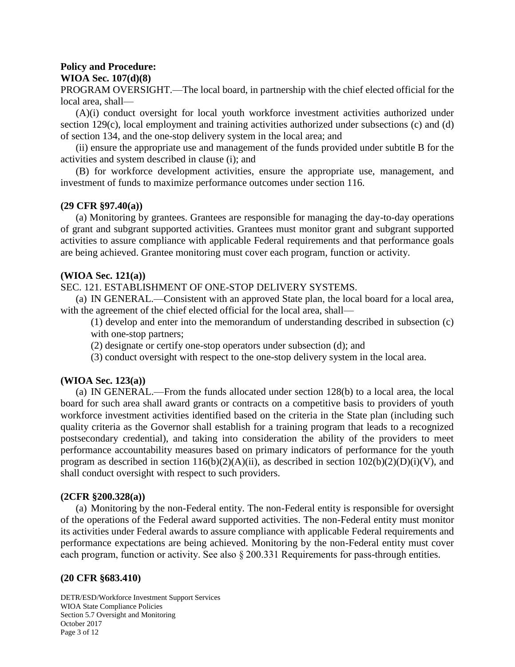#### **Policy and Procedure: WIOA Sec. 107(d)(8)**

PROGRAM OVERSIGHT.—The local board, in partnership with the chief elected official for the local area, shall—

(A)(i) conduct oversight for local youth workforce investment activities authorized under section 129(c), local employment and training activities authorized under subsections (c) and (d) of section 134, and the one-stop delivery system in the local area; and

(ii) ensure the appropriate use and management of the funds provided under subtitle B for the activities and system described in clause (i); and

(B) for workforce development activities, ensure the appropriate use, management, and investment of funds to maximize performance outcomes under section 116.

#### **(29 CFR §97.40(a))**

(a) Monitoring by grantees. Grantees are responsible for managing the day-to-day operations of grant and subgrant supported activities. Grantees must monitor grant and subgrant supported activities to assure compliance with applicable Federal requirements and that performance goals are being achieved. Grantee monitoring must cover each program, function or activity.

#### **(WIOA Sec. 121(a))**

SEC. 121. ESTABLISHMENT OF ONE-STOP DELIVERY SYSTEMS.

(a) IN GENERAL.—Consistent with an approved State plan, the local board for a local area, with the agreement of the chief elected official for the local area, shall—

(1) develop and enter into the memorandum of understanding described in subsection (c) with one-stop partners;

(2) designate or certify one-stop operators under subsection (d); and

(3) conduct oversight with respect to the one-stop delivery system in the local area.

### **(WIOA Sec. 123(a))**

(a) IN GENERAL.—From the funds allocated under section 128(b) to a local area, the local board for such area shall award grants or contracts on a competitive basis to providers of youth workforce investment activities identified based on the criteria in the State plan (including such quality criteria as the Governor shall establish for a training program that leads to a recognized postsecondary credential), and taking into consideration the ability of the providers to meet performance accountability measures based on primary indicators of performance for the youth program as described in section  $116(b)(2)(A)(ii)$ , as described in section  $102(b)(2)(D)(i)(V)$ , and shall conduct oversight with respect to such providers.

#### **(2CFR §200.328(a))**

(a) Monitoring by the non-Federal entity. The non-Federal entity is responsible for oversight of the operations of the Federal award supported activities. The non-Federal entity must monitor its activities under Federal awards to assure compliance with applicable Federal requirements and performance expectations are being achieved. Monitoring by the non-Federal entity must cover each program, function or activity. See also § 200.331 Requirements for pass-through entities.

### **(20 CFR §683.410)**

DETR/ESD/Workforce Investment Support Services WIOA State Compliance Policies Section 5.7 Oversight and Monitoring October 2017 Page 3 of 12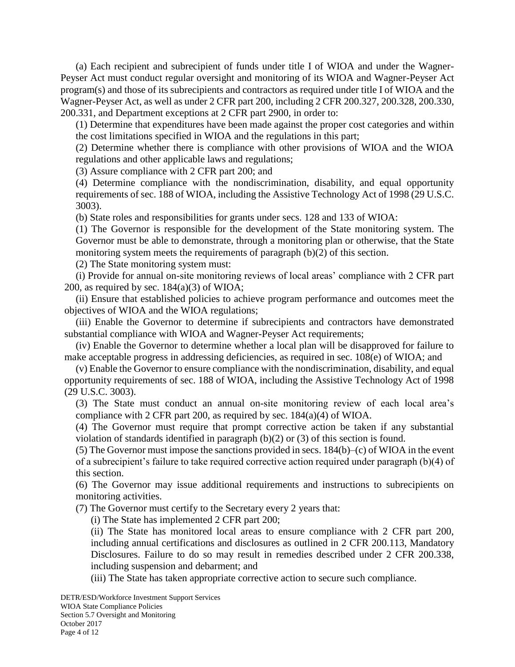(a) Each recipient and subrecipient of funds under title I of WIOA and under the Wagner-Peyser Act must conduct regular oversight and monitoring of its WIOA and Wagner-Peyser Act program(s) and those of its subrecipients and contractors as required under title I of WIOA and the Wagner-Peyser Act, as well as under 2 CFR part 200, including 2 CFR 200.327, 200.328, 200.330, 200.331, and Department exceptions at 2 CFR part 2900, in order to:

(1) Determine that expenditures have been made against the proper cost categories and within the cost limitations specified in WIOA and the regulations in this part;

(2) Determine whether there is compliance with other provisions of WIOA and the WIOA regulations and other applicable laws and regulations;

(3) Assure compliance with 2 CFR part 200; and

(4) Determine compliance with the nondiscrimination, disability, and equal opportunity requirements of sec. 188 of WIOA, including the Assistive Technology Act of 1998 (29 U.S.C. 3003).

(b) State roles and responsibilities for grants under secs. 128 and 133 of WIOA:

(1) The Governor is responsible for the development of the State monitoring system. The Governor must be able to demonstrate, through a monitoring plan or otherwise, that the State monitoring system meets the requirements of paragraph (b)(2) of this section.

(2) The State monitoring system must:

(i) Provide for annual on-site monitoring reviews of local areas' compliance with 2 CFR part 200, as required by sec.  $184(a)(3)$  of WIOA;

(ii) Ensure that established policies to achieve program performance and outcomes meet the objectives of WIOA and the WIOA regulations;

(iii) Enable the Governor to determine if subrecipients and contractors have demonstrated substantial compliance with WIOA and Wagner-Peyser Act requirements;

(iv) Enable the Governor to determine whether a local plan will be disapproved for failure to make acceptable progress in addressing deficiencies, as required in sec. 108(e) of WIOA; and

(v) Enable the Governor to ensure compliance with the nondiscrimination, disability, and equal opportunity requirements of sec. 188 of WIOA, including the Assistive Technology Act of 1998 (29 U.S.C. 3003).

(3) The State must conduct an annual on-site monitoring review of each local area's compliance with 2 CFR part 200, as required by sec. 184(a)(4) of WIOA.

(4) The Governor must require that prompt corrective action be taken if any substantial violation of standards identified in paragraph (b)(2) or (3) of this section is found.

(5) The Governor must impose the sanctions provided in secs. 184(b)–(c) of WIOA in the event of a subrecipient's failure to take required corrective action required under paragraph (b)(4) of this section.

(6) The Governor may issue additional requirements and instructions to subrecipients on monitoring activities.

(7) The Governor must certify to the Secretary every 2 years that:

(i) The State has implemented 2 CFR part 200;

(ii) The State has monitored local areas to ensure compliance with 2 CFR part 200, including annual certifications and disclosures as outlined in 2 CFR 200.113, Mandatory Disclosures. Failure to do so may result in remedies described under 2 CFR 200.338, including suspension and debarment; and

(iii) The State has taken appropriate corrective action to secure such compliance.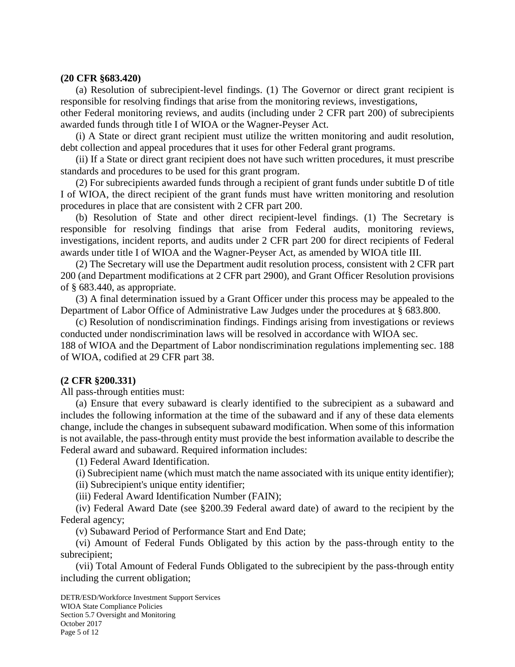#### **(20 CFR §683.420)**

(a) Resolution of subrecipient-level findings. (1) The Governor or direct grant recipient is responsible for resolving findings that arise from the monitoring reviews, investigations,

other Federal monitoring reviews, and audits (including under 2 CFR part 200) of subrecipients awarded funds through title I of WIOA or the Wagner-Peyser Act.

(i) A State or direct grant recipient must utilize the written monitoring and audit resolution, debt collection and appeal procedures that it uses for other Federal grant programs.

(ii) If a State or direct grant recipient does not have such written procedures, it must prescribe standards and procedures to be used for this grant program.

(2) For subrecipients awarded funds through a recipient of grant funds under subtitle D of title I of WIOA, the direct recipient of the grant funds must have written monitoring and resolution procedures in place that are consistent with 2 CFR part 200.

(b) Resolution of State and other direct recipient-level findings. (1) The Secretary is responsible for resolving findings that arise from Federal audits, monitoring reviews, investigations, incident reports, and audits under 2 CFR part 200 for direct recipients of Federal awards under title I of WIOA and the Wagner-Peyser Act, as amended by WIOA title III.

(2) The Secretary will use the Department audit resolution process, consistent with 2 CFR part 200 (and Department modifications at 2 CFR part 2900), and Grant Officer Resolution provisions of § 683.440, as appropriate.

(3) A final determination issued by a Grant Officer under this process may be appealed to the Department of Labor Office of Administrative Law Judges under the procedures at § 683.800.

(c) Resolution of nondiscrimination findings. Findings arising from investigations or reviews conducted under nondiscrimination laws will be resolved in accordance with WIOA sec.

188 of WIOA and the Department of Labor nondiscrimination regulations implementing sec. 188 of WIOA, codified at 29 CFR part 38.

#### **(2 CFR §200.331)**

All pass-through entities must:

(a) Ensure that every subaward is clearly identified to the subrecipient as a subaward and includes the following information at the time of the subaward and if any of these data elements change, include the changes in subsequent subaward modification. When some of this information is not available, the pass-through entity must provide the best information available to describe the Federal award and subaward. Required information includes:

(1) Federal Award Identification.

(i) Subrecipient name (which must match the name associated with its unique entity identifier);

(ii) Subrecipient's unique entity identifier;

(iii) Federal Award Identification Number (FAIN);

(iv) Federal Award Date (see §200.39 Federal award date) of award to the recipient by the Federal agency;

(v) Subaward Period of Performance Start and End Date;

(vi) Amount of Federal Funds Obligated by this action by the pass-through entity to the subrecipient;

(vii) Total Amount of Federal Funds Obligated to the subrecipient by the pass-through entity including the current obligation;

DETR/ESD/Workforce Investment Support Services WIOA State Compliance Policies Section 5.7 Oversight and Monitoring October 2017 Page 5 of 12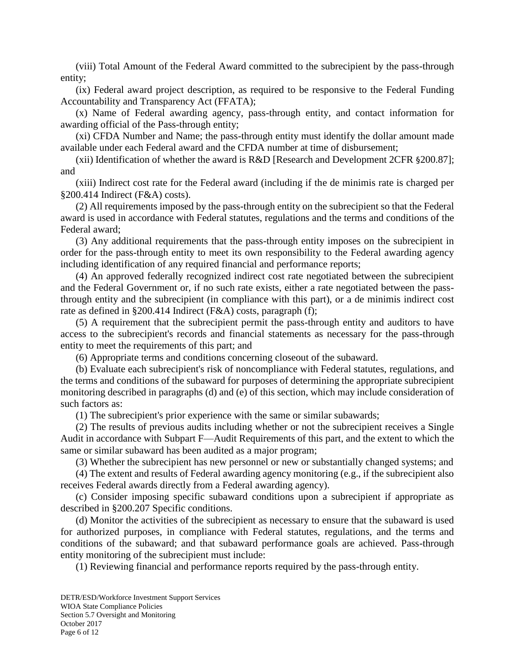(viii) Total Amount of the Federal Award committed to the subrecipient by the pass-through entity;

(ix) Federal award project description, as required to be responsive to the Federal Funding Accountability and Transparency Act (FFATA);

(x) Name of Federal awarding agency, pass-through entity, and contact information for awarding official of the Pass-through entity;

(xi) CFDA Number and Name; the pass-through entity must identify the dollar amount made available under each Federal award and the CFDA number at time of disbursement;

(xii) Identification of whether the award is R&D [Research and Development 2CFR §200.87]; and

(xiii) Indirect cost rate for the Federal award (including if the de minimis rate is charged per §200.414 Indirect (F&A) costs).

(2) All requirements imposed by the pass-through entity on the subrecipient so that the Federal award is used in accordance with Federal statutes, regulations and the terms and conditions of the Federal award;

(3) Any additional requirements that the pass-through entity imposes on the subrecipient in order for the pass-through entity to meet its own responsibility to the Federal awarding agency including identification of any required financial and performance reports;

(4) An approved federally recognized indirect cost rate negotiated between the subrecipient and the Federal Government or, if no such rate exists, either a rate negotiated between the passthrough entity and the subrecipient (in compliance with this part), or a de minimis indirect cost rate as defined in §200.414 Indirect (F&A) costs, paragraph (f);

(5) A requirement that the subrecipient permit the pass-through entity and auditors to have access to the subrecipient's records and financial statements as necessary for the pass-through entity to meet the requirements of this part; and

(6) Appropriate terms and conditions concerning closeout of the subaward.

(b) Evaluate each subrecipient's risk of noncompliance with Federal statutes, regulations, and the terms and conditions of the subaward for purposes of determining the appropriate subrecipient monitoring described in paragraphs (d) and (e) of this section, which may include consideration of such factors as:

(1) The subrecipient's prior experience with the same or similar subawards;

(2) The results of previous audits including whether or not the subrecipient receives a Single Audit in accordance with Subpart F—Audit Requirements of this part, and the extent to which the same or similar subaward has been audited as a major program;

(3) Whether the subrecipient has new personnel or new or substantially changed systems; and

(4) The extent and results of Federal awarding agency monitoring (e.g., if the subrecipient also receives Federal awards directly from a Federal awarding agency).

(c) Consider imposing specific subaward conditions upon a subrecipient if appropriate as described in §200.207 Specific conditions.

(d) Monitor the activities of the subrecipient as necessary to ensure that the subaward is used for authorized purposes, in compliance with Federal statutes, regulations, and the terms and conditions of the subaward; and that subaward performance goals are achieved. Pass-through entity monitoring of the subrecipient must include:

(1) Reviewing financial and performance reports required by the pass-through entity.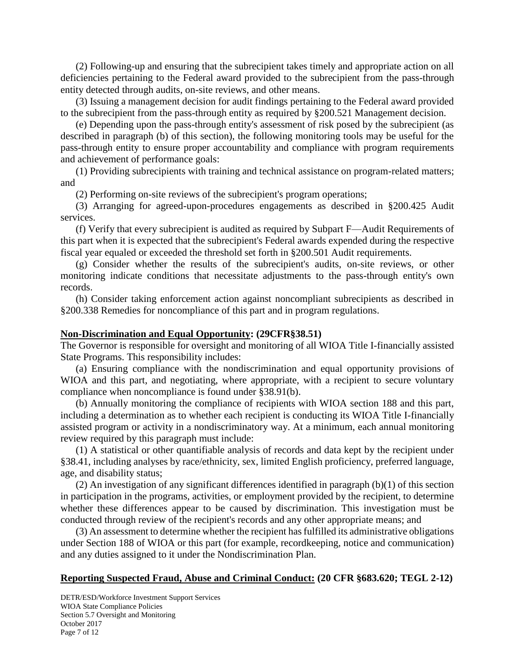(2) Following-up and ensuring that the subrecipient takes timely and appropriate action on all deficiencies pertaining to the Federal award provided to the subrecipient from the pass-through entity detected through audits, on-site reviews, and other means.

(3) Issuing a management decision for audit findings pertaining to the Federal award provided to the subrecipient from the pass-through entity as required by §200.521 Management decision.

(e) Depending upon the pass-through entity's assessment of risk posed by the subrecipient (as described in paragraph (b) of this section), the following monitoring tools may be useful for the pass-through entity to ensure proper accountability and compliance with program requirements and achievement of performance goals:

(1) Providing subrecipients with training and technical assistance on program-related matters; and

(2) Performing on-site reviews of the subrecipient's program operations;

(3) Arranging for agreed-upon-procedures engagements as described in §200.425 Audit services.

(f) Verify that every subrecipient is audited as required by Subpart F—Audit Requirements of this part when it is expected that the subrecipient's Federal awards expended during the respective fiscal year equaled or exceeded the threshold set forth in §200.501 Audit requirements.

(g) Consider whether the results of the subrecipient's audits, on-site reviews, or other monitoring indicate conditions that necessitate adjustments to the pass-through entity's own records.

(h) Consider taking enforcement action against noncompliant subrecipients as described in §200.338 Remedies for noncompliance of this part and in program regulations.

### **Non-Discrimination and Equal Opportunity: (29CFR§38.51)**

The Governor is responsible for oversight and monitoring of all WIOA Title I-financially assisted State Programs. This responsibility includes:

(a) Ensuring compliance with the nondiscrimination and equal opportunity provisions of WIOA and this part, and negotiating, where appropriate, with a recipient to secure voluntary compliance when noncompliance is found under §38.91(b).

(b) Annually monitoring the compliance of recipients with WIOA section 188 and this part, including a determination as to whether each recipient is conducting its WIOA Title I-financially assisted program or activity in a nondiscriminatory way. At a minimum, each annual monitoring review required by this paragraph must include:

(1) A statistical or other quantifiable analysis of records and data kept by the recipient under §38.41, including analyses by race/ethnicity, sex, limited English proficiency, preferred language, age, and disability status;

(2) An investigation of any significant differences identified in paragraph (b)(1) of this section in participation in the programs, activities, or employment provided by the recipient, to determine whether these differences appear to be caused by discrimination. This investigation must be conducted through review of the recipient's records and any other appropriate means; and

(3) An assessment to determine whether the recipient has fulfilled its administrative obligations under Section 188 of WIOA or this part (for example, recordkeeping, notice and communication) and any duties assigned to it under the Nondiscrimination Plan.

### **Reporting Suspected Fraud, Abuse and Criminal Conduct: (20 CFR §683.620; TEGL 2-12)**

DETR/ESD/Workforce Investment Support Services WIOA State Compliance Policies Section 5.7 Oversight and Monitoring October 2017 Page 7 of 12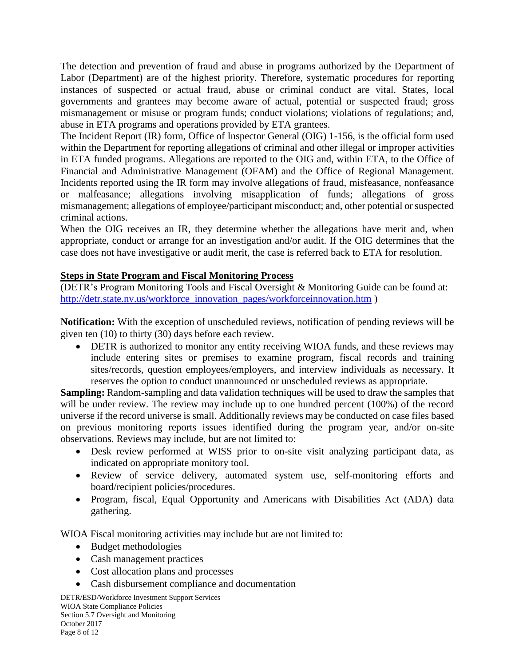The detection and prevention of fraud and abuse in programs authorized by the Department of Labor (Department) are of the highest priority. Therefore, systematic procedures for reporting instances of suspected or actual fraud, abuse or criminal conduct are vital. States, local governments and grantees may become aware of actual, potential or suspected fraud; gross mismanagement or misuse or program funds; conduct violations; violations of regulations; and, abuse in ETA programs and operations provided by ETA grantees.

The Incident Report (IR) form, Office of Inspector General (OIG) 1-156, is the official form used within the Department for reporting allegations of criminal and other illegal or improper activities in ETA funded programs. Allegations are reported to the OIG and, within ETA, to the Office of Financial and Administrative Management (OFAM) and the Office of Regional Management. Incidents reported using the IR form may involve allegations of fraud, misfeasance, nonfeasance or malfeasance; allegations involving misapplication of funds; allegations of gross mismanagement; allegations of employee/participant misconduct; and, other potential or suspected criminal actions.

When the OIG receives an IR, they determine whether the allegations have merit and, when appropriate, conduct or arrange for an investigation and/or audit. If the OIG determines that the case does not have investigative or audit merit, the case is referred back to ETA for resolution.

### **Steps in State Program and Fiscal Monitoring Process**

(DETR's Program Monitoring Tools and Fiscal Oversight & Monitoring Guide can be found at: [http://detr.state.nv.us/workforce\\_innovation\\_pages/workforceinnovation.htm](http://detr.state.nv.us/workforce_innovation_pages/workforceinnovation.htm) )

**Notification:** With the exception of unscheduled reviews, notification of pending reviews will be given ten (10) to thirty (30) days before each review.

 DETR is authorized to monitor any entity receiving WIOA funds, and these reviews may include entering sites or premises to examine program, fiscal records and training sites/records, question employees/employers, and interview individuals as necessary. It reserves the option to conduct unannounced or unscheduled reviews as appropriate.

**Sampling:** Random-sampling and data validation techniques will be used to draw the samples that will be under review. The review may include up to one hundred percent (100%) of the record universe if the record universe is small. Additionally reviews may be conducted on case files based on previous monitoring reports issues identified during the program year, and/or on-site observations. Reviews may include, but are not limited to:

- Desk review performed at WISS prior to on-site visit analyzing participant data, as indicated on appropriate monitory tool.
- Review of service delivery, automated system use, self-monitoring efforts and board/recipient policies/procedures.
- Program, fiscal, Equal Opportunity and Americans with Disabilities Act (ADA) data gathering.

WIOA Fiscal monitoring activities may include but are not limited to:

- Budget methodologies
- Cash management practices
- Cost allocation plans and processes
- Cash disbursement compliance and documentation

DETR/ESD/Workforce Investment Support Services WIOA State Compliance Policies Section 5.7 Oversight and Monitoring October 2017 Page 8 of 12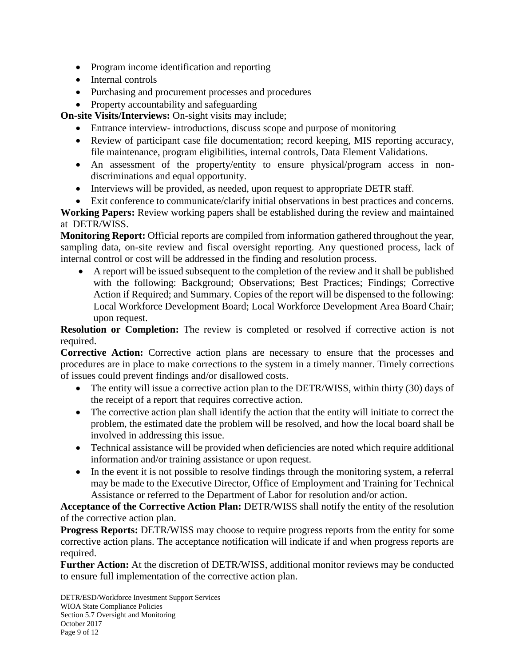- Program income identification and reporting
- Internal controls
- Purchasing and procurement processes and procedures
- Property accountability and safeguarding

**On-site Visits/Interviews: On-sight visits may include;** 

- Entrance interview- introductions, discuss scope and purpose of monitoring
- Review of participant case file documentation; record keeping, MIS reporting accuracy, file maintenance, program eligibilities, internal controls, Data Element Validations.
- An assessment of the property/entity to ensure physical/program access in nondiscriminations and equal opportunity.
- Interviews will be provided, as needed, upon request to appropriate DETR staff.
- Exit conference to communicate/clarify initial observations in best practices and concerns.

**Working Papers:** Review working papers shall be established during the review and maintained at DETR/WISS.

**Monitoring Report:** Official reports are compiled from information gathered throughout the year, sampling data, on-site review and fiscal oversight reporting. Any questioned process, lack of internal control or cost will be addressed in the finding and resolution process.

 A report will be issued subsequent to the completion of the review and it shall be published with the following: Background; Observations; Best Practices; Findings; Corrective Action if Required; and Summary. Copies of the report will be dispensed to the following: Local Workforce Development Board; Local Workforce Development Area Board Chair; upon request.

**Resolution or Completion:** The review is completed or resolved if corrective action is not required.

**Corrective Action:** Corrective action plans are necessary to ensure that the processes and procedures are in place to make corrections to the system in a timely manner. Timely corrections of issues could prevent findings and/or disallowed costs.

- The entity will issue a corrective action plan to the DETR/WISS, within thirty (30) days of the receipt of a report that requires corrective action.
- The corrective action plan shall identify the action that the entity will initiate to correct the problem, the estimated date the problem will be resolved, and how the local board shall be involved in addressing this issue.
- Technical assistance will be provided when deficiencies are noted which require additional information and/or training assistance or upon request.
- In the event it is not possible to resolve findings through the monitoring system, a referral may be made to the Executive Director, Office of Employment and Training for Technical Assistance or referred to the Department of Labor for resolution and/or action.

**Acceptance of the Corrective Action Plan:** DETR/WISS shall notify the entity of the resolution of the corrective action plan.

**Progress Reports:** DETR/WISS may choose to require progress reports from the entity for some corrective action plans. The acceptance notification will indicate if and when progress reports are required.

**Further Action:** At the discretion of DETR/WISS, additional monitor reviews may be conducted to ensure full implementation of the corrective action plan.

DETR/ESD/Workforce Investment Support Services WIOA State Compliance Policies Section 5.7 Oversight and Monitoring October 2017 Page 9 of 12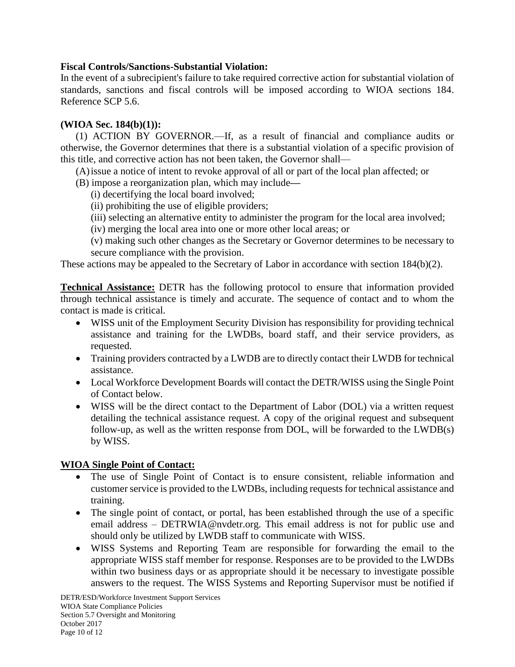### **Fiscal Controls/Sanctions-Substantial Violation:**

In the event of a subrecipient's failure to take required corrective action for substantial violation of standards, sanctions and fiscal controls will be imposed according to WIOA sections 184. Reference SCP 5.6.

### **(WIOA Sec. 184(b)(1)):**

(1) ACTION BY GOVERNOR.—If, as a result of financial and compliance audits or otherwise, the Governor determines that there is a substantial violation of a specific provision of this title, and corrective action has not been taken, the Governor shall—

(A)issue a notice of intent to revoke approval of all or part of the local plan affected; or

- (B) impose a reorganization plan, which may include**—**
	- (i) decertifying the local board involved;
	- (ii) prohibiting the use of eligible providers;
	- (iii) selecting an alternative entity to administer the program for the local area involved;
	- (iv) merging the local area into one or more other local areas; or

(v) making such other changes as the Secretary or Governor determines to be necessary to secure compliance with the provision.

These actions may be appealed to the Secretary of Labor in accordance with section 184(b)(2).

**Technical Assistance:** DETR has the following protocol to ensure that information provided through technical assistance is timely and accurate. The sequence of contact and to whom the contact is made is critical.

- WISS unit of the Employment Security Division has responsibility for providing technical assistance and training for the LWDBs, board staff, and their service providers, as requested.
- Training providers contracted by a LWDB are to directly contact their LWDB for technical assistance.
- Local Workforce Development Boards will contact the DETR/WISS using the Single Point of Contact below.
- WISS will be the direct contact to the Department of Labor (DOL) via a written request detailing the technical assistance request. A copy of the original request and subsequent follow-up, as well as the written response from DOL, will be forwarded to the LWDB(s) by WISS.

### **WIOA Single Point of Contact:**

- The use of Single Point of Contact is to ensure consistent, reliable information and customer service is provided to the LWDBs, including requests for technical assistance and training.
- The single point of contact, or portal, has been established through the use of a specific email address – DETRWIA@nvdetr.org. This email address is not for public use and should only be utilized by LWDB staff to communicate with WISS.
- WISS Systems and Reporting Team are responsible for forwarding the email to the appropriate WISS staff member for response. Responses are to be provided to the LWDBs within two business days or as appropriate should it be necessary to investigate possible answers to the request. The WISS Systems and Reporting Supervisor must be notified if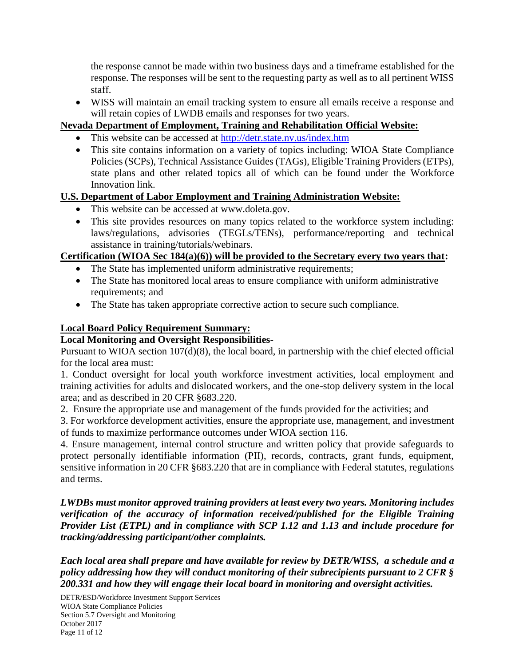the response cannot be made within two business days and a timeframe established for the response. The responses will be sent to the requesting party as well as to all pertinent WISS staff.

 WISS will maintain an email tracking system to ensure all emails receive a response and will retain copies of LWDB emails and responses for two years.

### **Nevada Department of Employment, Training and Rehabilitation Official Website:**

- This website can be accessed at<http://detr.state.nv.us/index.htm>
- This site contains information on a variety of topics including: WIOA State Compliance Policies (SCPs), Technical Assistance Guides (TAGs), Eligible Training Providers (ETPs), state plans and other related topics all of which can be found under the Workforce Innovation link.

# **U.S. Department of Labor Employment and Training Administration Website:**

- This website can be accessed at www.doleta.gov.
- This site provides resources on many topics related to the workforce system including: laws/regulations, advisories (TEGLs/TENs), performance/reporting and technical assistance in training/tutorials/webinars.

# **Certification (WIOA Sec 184(a)(6)) will be provided to the Secretary every two years that:**

- The State has implemented uniform administrative requirements;
- The State has monitored local areas to ensure compliance with uniform administrative requirements; and
- The State has taken appropriate corrective action to secure such compliance.

# **Local Board Policy Requirement Summary:**

### **Local Monitoring and Oversight Responsibilities-**

Pursuant to WIOA section 107(d)(8), the local board, in partnership with the chief elected official for the local area must:

1. Conduct oversight for local youth workforce investment activities, local employment and training activities for adults and dislocated workers, and the one-stop delivery system in the local area; and as described in 20 CFR §683.220.

2. Ensure the appropriate use and management of the funds provided for the activities; and

3. For workforce development activities, ensure the appropriate use, management, and investment of funds to maximize performance outcomes under WIOA section 116.

4. Ensure management, internal control structure and written policy that provide safeguards to protect personally identifiable information (PII), records, contracts, grant funds, equipment, sensitive information in 20 CFR §683.220 that are in compliance with Federal statutes, regulations and terms.

*LWDBs must monitor approved training providers at least every two years. Monitoring includes verification of the accuracy of information received/published for the Eligible Training Provider List (ETPL) and in compliance with SCP 1.12 and 1.13 and include procedure for tracking/addressing participant/other complaints.* 

*Each local area shall prepare and have available for review by DETR/WISS, a schedule and a policy addressing how they will conduct monitoring of their subrecipients pursuant to 2 CFR § 200.331 and how they will engage their local board in monitoring and oversight activities.*

DETR/ESD/Workforce Investment Support Services WIOA State Compliance Policies Section 5.7 Oversight and Monitoring October 2017 Page 11 of 12